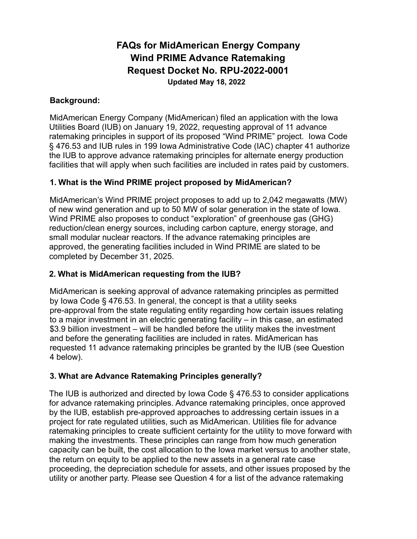# **FAQs for MidAmerican Energy Company Wind PRIME Advance Ratemaking Request Docket No. RPU-2022-0001 Updated May 18, 2022**

### **Background:**

MidAmerican Energy Company (MidAmerican) filed an application with the Iowa Utilities Board (IUB) on January 19, 2022, requesting approval of 11 advance ratemaking principles in support of its proposed "Wind PRIME" project. Iowa Code § 476.53 and IUB rules in 199 Iowa Administrative Code (IAC) chapter 41 authorize the IUB to approve advance ratemaking principles for alternate energy production facilities that will apply when such facilities are included in rates paid by customers.

## **1. What is the Wind PRIME project proposed by MidAmerican?**

MidAmerican's Wind PRIME project proposes to add up to 2,042 megawatts (MW) of new wind generation and up to 50 MW of solar generation in the state of Iowa. Wind PRIME also proposes to conduct "exploration" of greenhouse gas (GHG) reduction/clean energy sources, including carbon capture, energy storage, and small modular nuclear reactors. If the advance ratemaking principles are approved, the generating facilities included in Wind PRIME are slated to be completed by December 31, 2025.

### **2. What is MidAmerican requesting from the IUB?**

MidAmerican is seeking approval of advance ratemaking principles as permitted by Iowa Code § 476.53. In general, the concept is that a utility seeks pre-approval from the state regulating entity regarding how certain issues relating to a major investment in an electric generating facility – in this case, an estimated \$3.9 billion investment – will be handled before the utility makes the investment and before the generating facilities are included in rates. MidAmerican has requested 11 advance ratemaking principles be granted by the IUB (see Question 4 below).

## **3. What are Advance Ratemaking Principles generally?**

The IUB is authorized and directed by Iowa Code § 476.53 to consider applications for advance ratemaking principles. Advance ratemaking principles, once approved by the IUB, establish pre-approved approaches to addressing certain issues in a project for rate regulated utilities, such as MidAmerican. Utilities file for advance ratemaking principles to create sufficient certainty for the utility to move forward with making the investments. These principles can range from how much generation capacity can be built, the cost allocation to the Iowa market versus to another state, the return on equity to be applied to the new assets in a general rate case proceeding, the depreciation schedule for assets, and other issues proposed by the utility or another party. Please see Question 4 for a list of the advance ratemaking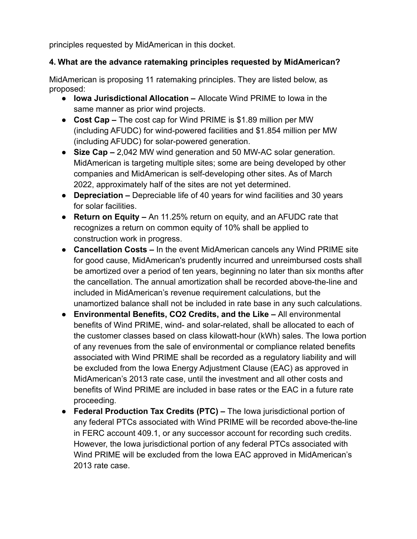principles requested by MidAmerican in this docket.

# **4. What are the advance ratemaking principles requested by MidAmerican?**

MidAmerican is proposing 11 ratemaking principles. They are listed below, as proposed:

- **Iowa Jurisdictional Allocation –** Allocate Wind PRIME to Iowa in the same manner as prior wind projects.
- **Cost Cap –** The cost cap for Wind PRIME is \$1.89 million per MW (including AFUDC) for wind-powered facilities and \$1.854 million per MW (including AFUDC) for solar-powered generation.
- **Size Cap –** 2,042 MW wind generation and 50 MW-AC solar generation. MidAmerican is targeting multiple sites; some are being developed by other companies and MidAmerican is self-developing other sites. As of March 2022, approximately half of the sites are not yet determined.
- **Depreciation –** Depreciable life of 40 years for wind facilities and 30 years for solar facilities.
- **Return on Equity –** An 11.25% return on equity, and an AFUDC rate that recognizes a return on common equity of 10% shall be applied to construction work in progress.
- **Cancellation Costs –** In the event MidAmerican cancels any Wind PRIME site for good cause, MidAmerican's prudently incurred and unreimbursed costs shall be amortized over a period of ten years, beginning no later than six months after the cancellation. The annual amortization shall be recorded above-the-line and included in MidAmerican's revenue requirement calculations, but the unamortized balance shall not be included in rate base in any such calculations.
- **Environmental Benefits, CO2 Credits, and the Like –** All environmental benefits of Wind PRIME, wind- and solar-related, shall be allocated to each of the customer classes based on class kilowatt-hour (kWh) sales. The Iowa portion of any revenues from the sale of environmental or compliance related benefits associated with Wind PRIME shall be recorded as a regulatory liability and will be excluded from the Iowa Energy Adjustment Clause (EAC) as approved in MidAmerican's 2013 rate case, until the investment and all other costs and benefits of Wind PRIME are included in base rates or the EAC in a future rate proceeding.
- **Federal Production Tax Credits (PTC) –** The Iowa jurisdictional portion of any federal PTCs associated with Wind PRIME will be recorded above-the-line in FERC account 409.1, or any successor account for recording such credits. However, the Iowa jurisdictional portion of any federal PTCs associated with Wind PRIME will be excluded from the Iowa EAC approved in MidAmerican's 2013 rate case.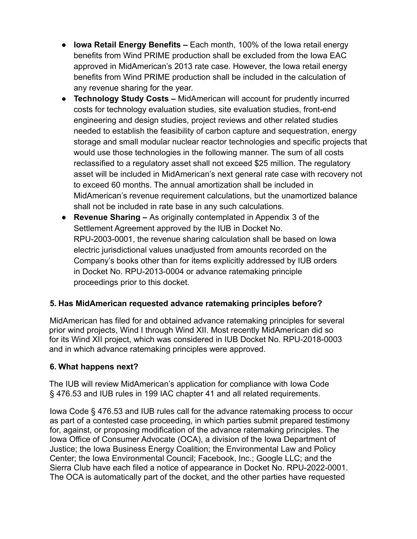- **Iowa Retail Energy Benefits –** Each month, 100% of the Iowa retail energy benefits from Wind PRIME production shall be excluded from the Iowa EAC approved in MidAmerican's 2013 rate case. However, the Iowa retail energy benefits from Wind PRIME production shall be included in the calculation of any revenue sharing for the year.
- **Technology Study Costs –** MidAmerican will account for prudently incurred costs for technology evaluation studies, site evaluation studies, front-end engineering and design studies, project reviews and other related studies needed to establish the feasibility of carbon capture and sequestration, energy storage and small modular nuclear reactor technologies and specific projects that would use those technologies in the following manner. The sum of all costs reclassified to a regulatory asset shall not exceed \$25 million. The regulatory asset will be included in MidAmerican's next general rate case with recovery not to exceed 60 months. The annual amortization shall be included in MidAmerican's revenue requirement calculations, but the unamortized balance shall not be included in rate base in any such calculations.
- **Revenue Sharing –** As originally contemplated in Appendix 3 of the Settlement Agreement approved by the IUB in Docket No. RPU-2003-0001, the revenue sharing calculation shall be based on Iowa electric jurisdictional values unadjusted from amounts recorded on the Company's books other than for items explicitly addressed by IUB orders in Docket No. RPU-2013-0004 or advance ratemaking principle proceedings prior to this docket.

# **5. Has MidAmerican requested advance ratemaking principles before?**

MidAmerican has filed for and obtained advance ratemaking principles for several prior wind projects, Wind I through Wind XII. Most recently MidAmerican did so for its Wind XII project, which was considered in IUB Docket No. RPU-2018-0003 and in which advance ratemaking principles were approved.

## **6. What happens next?**

The IUB will review MidAmerican's application for compliance with Iowa Code § 476.53 and IUB rules in 199 IAC chapter 41 and all related requirements.

Iowa Code § 476.53 and IUB rules call for the advance ratemaking process to occur as part of a contested case proceeding, in which parties submit prepared testimony for, against, or proposing modification of the advance ratemaking principles. The Iowa Office of Consumer Advocate (OCA), a division of the Iowa Department of Justice; the Iowa Business Energy Coalition; the Environmental Law and Policy Center; the Iowa Environmental Council; Facebook, Inc.; Google LLC; and the Sierra Club have each filed a notice of appearance in Docket No. RPU-2022-0001. The OCA is automatically part of the docket, and the other parties have requested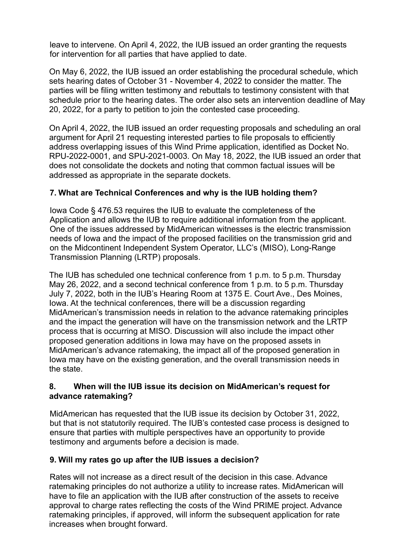leave to intervene. On April 4, 2022, the IUB issued an order granting the requests for intervention for all parties that have applied to date.

On May 6, 2022, the IUB issued an order establishing the procedural schedule, which sets hearing dates of October 31 - November 4, 2022 to consider the matter. The parties will be filing written testimony and rebuttals to testimony consistent with that schedule prior to the hearing dates. The order also sets an intervention deadline of May 20, 2022, for a party to petition to join the contested case proceeding.

On April 4, 2022, the IUB issued an order requesting proposals and scheduling an oral argument for April 21 requesting interested parties to file proposals to efficiently address overlapping issues of this Wind Prime application, identified as Docket No. RPU-2022-0001, and SPU-2021-0003. On May 18, 2022, the IUB issued an order that does not consolidate the dockets and noting that common factual issues will be addressed as appropriate in the separate dockets.

## **7. What are Technical Conferences and why is the IUB holding them?**

Iowa Code § 476.53 requires the IUB to evaluate the completeness of the Application and allows the IUB to require additional information from the applicant. One of the issues addressed by MidAmerican witnesses is the electric transmission needs of Iowa and the impact of the proposed facilities on the transmission grid and on the Midcontinent Independent System Operator, LLC's (MISO), Long-Range Transmission Planning (LRTP) proposals.

The IUB has scheduled one technical conference from 1 p.m. to 5 p.m. Thursday May 26, 2022, and a second technical conference from 1 p.m. to 5 p.m. Thursday July 7, 2022, both in the IUB's Hearing Room at 1375 E. Court Ave., Des Moines, Iowa. At the technical conferences, there will be a discussion regarding MidAmerican's transmission needs in relation to the advance ratemaking principles and the impact the generation will have on the transmission network and the LRTP process that is occurring at MISO. Discussion will also include the impact other proposed generation additions in Iowa may have on the proposed assets in MidAmerican's advance ratemaking, the impact all of the proposed generation in Iowa may have on the existing generation, and the overall transmission needs in the state.

### **8. When will the IUB issue its decision on MidAmerican's request for advance ratemaking?**

MidAmerican has requested that the IUB issue its decision by October 31, 2022, but that is not statutorily required. The IUB's contested case process is designed to ensure that parties with multiple perspectives have an opportunity to provide testimony and arguments before a decision is made.

## **9. Will my rates go up after the IUB issues a decision?**

Rates will not increase as a direct result of the decision in this case. Advance ratemaking principles do not authorize a utility to increase rates. MidAmerican will have to file an application with the IUB after construction of the assets to receive approval to charge rates reflecting the costs of the Wind PRIME project. Advance ratemaking principles, if approved, will inform the subsequent application for rate increases when brought forward.